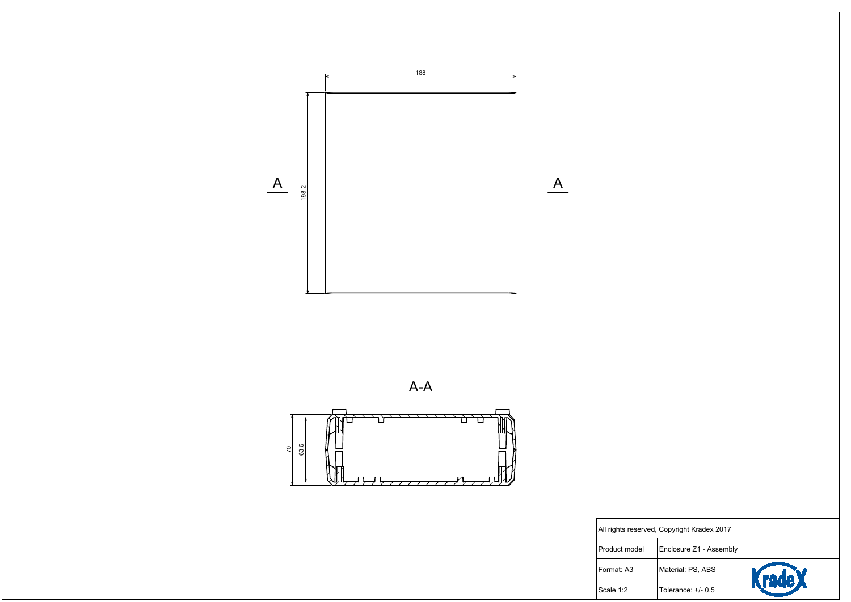



 $A-A$ 



All rights reser

Product model

Format: A3

Scale 1:2

| rved, Copyright Kradex 2017 |                         |        |  |  |
|-----------------------------|-------------------------|--------|--|--|
|                             | Enclosure Z1 - Assembly |        |  |  |
|                             | Material: PS, ABS       | KradeX |  |  |
|                             | Tolerance: $+/- 0.5$    |        |  |  |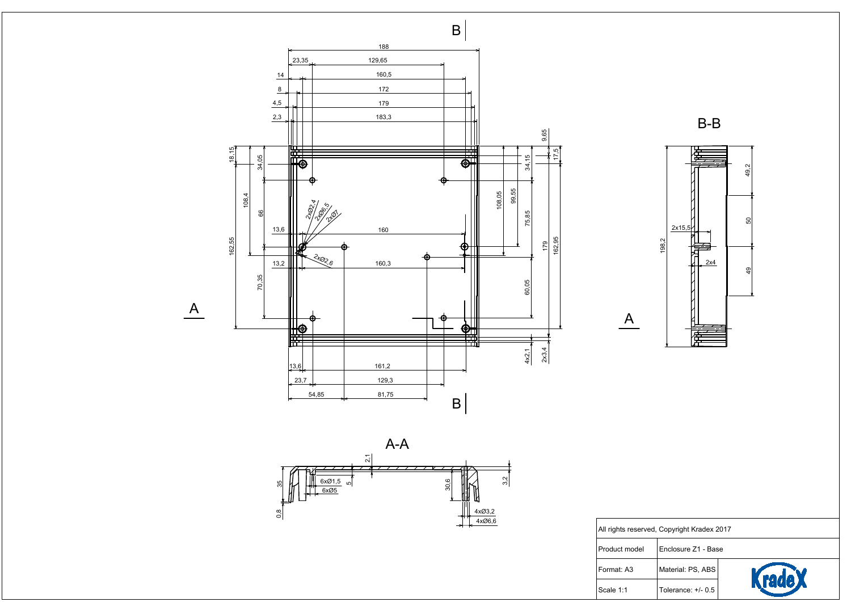

| ved, Copyright Kradex 2017 |                     |        |
|----------------------------|---------------------|--------|
|                            | Enclosure Z1 - Base |        |
|                            | Material: PS, ABS   | KradeX |
|                            | Tolerance: +/- 0.5  |        |





All rights reser

 $\overline{A}$ 

Product model

Format: A3

Scale 1:1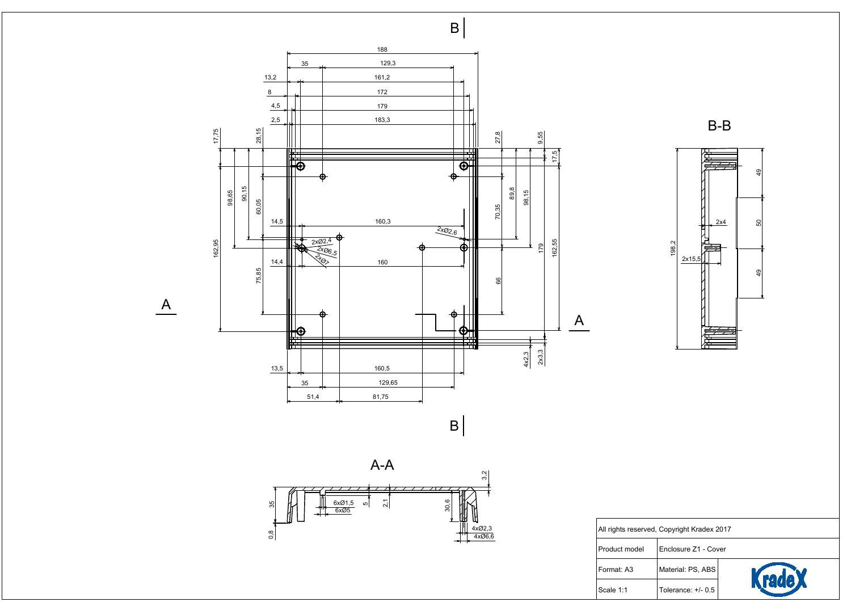

 $\overline{A}$ 



All rights reser Product model Format: A3

Scale 1:1



| ved, Copyright Kradex 2017 |                       |               |  |  |
|----------------------------|-----------------------|---------------|--|--|
|                            | Enclosure Z1 - Cover  |               |  |  |
|                            | Material: PS, ABS     | <b>KradeX</b> |  |  |
|                            | Tolerance: $+/$ - 0.5 |               |  |  |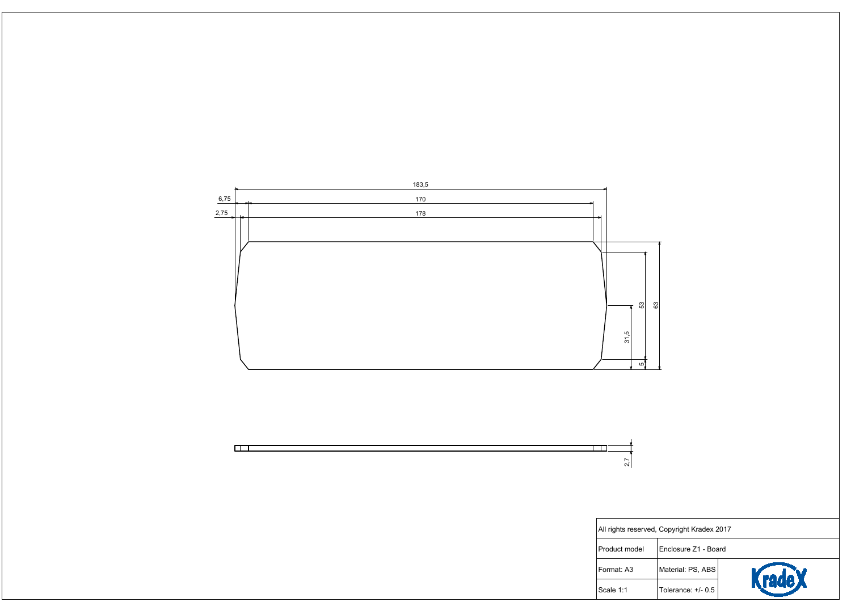





| rved, Copyright Kradex 2017 |                       |                              |  |  |
|-----------------------------|-----------------------|------------------------------|--|--|
|                             | Enclosure Z1 - Board  |                              |  |  |
|                             | Material: PS, ABS     |                              |  |  |
|                             | Tolerance: $+/$ - 0.5 | <b><i><u>Stade X</u></i></b> |  |  |